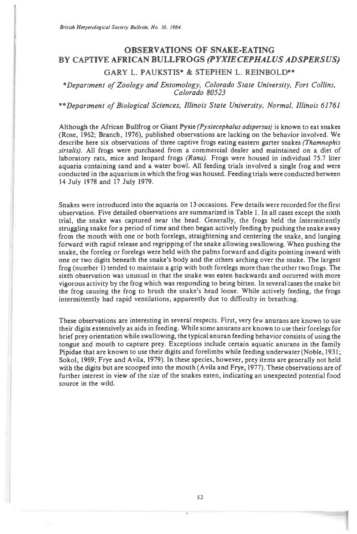British Herpetological Society Bulletin, No. 10. 1984.

# **OBSERVATIONS OF SNAKE-EATING BY CAPTIVE AFRICAN BULLFROGS** *(PYXIECEPHALUS ADSPERSUS)*

# **GARY L. PAUKSTIS\* & STEPHEN L. REINBOLD\*\***

## \*Department of Zoology and Entomology, Colorado State University, Fort Collins, Colorado 80523

### \*\*Department of Biological Sciences, Illinois State University, Normal, Illinois 61761

Although the African Bullfrog or Giant Pyxie (Pyxiecephalus adspersus) is known to eat snakes (Rose, 1962; Branch, 1976), published observations are lacking on the behavior involved. We describe here six observations of three captive frogs eating eastern garter snakes (Thamnophis sirtalis). All frogs were purchased from a commercial dealer and maintained on a diet of laboratory rats, mice and leopard frogs (Rana). Frogs were housed in individual 75.7 liter aquaria containing sand and a water bowl. All feeding trials involved a single frog and were conducted in the aquarium in which the frog was housed. Feeding trials were conducted between 14 July 1978 and 17 July 1979.

Snakes were introduced into the aquaria on 13 occasions. Few details were recorded for the first observation. Five detailed observations are summarized in Table I. In all cases except the sixth trial, the snake was captured near the head. Generally, the frogs held the intermittently struggling snake for a period of time and then began actively feeding by pushing the snake away from the mouth with one or both forelegs, straightening and centering the snake, and lunging forward with rapid release and regripping of the snake allowing swallowing. When pushing the snake, the foreleg or forelegs were held with the palms forward and digits pointing inward with one or two digits beneath the snake's body and the others arching over the snake. The largest frog (number 1) tended to maintain a grip with both forelegs more than the other two frogs. The sixth observation was unusual in that the snake was eaten backwards and occurred with more vigorous activity by the frog which was responding to being bitten. In several cases the snake bit the frog causing the frog to brush the snake's head loose. While actively feeding, the frogs intermittently had rapid ventilations, apparently due to difficulty in breathing.

These observations are interesting in several respects. First, very few anurans are known to use their digits extensively as aids in feeding. While some anurans are known to use their forelegs for brief prey orientation while swallowing, the typical anuran feeding behavior consists of using the tongue and mouth to capture prey. Exceptions include certain aquatic anurans in the family Pipidae that are known to use their digits and forelimbs while feeding underwater (Noble, 1931; Sokol, 1969; Frye and Avila, 1979). In these species, however, prey items are generally not held with the digits but are scooped into the mouth (Avila and Frye, 1977). These observations are of further interest in view of the size of the snakes eaten, indicating an unexpected potential food source in the wild.